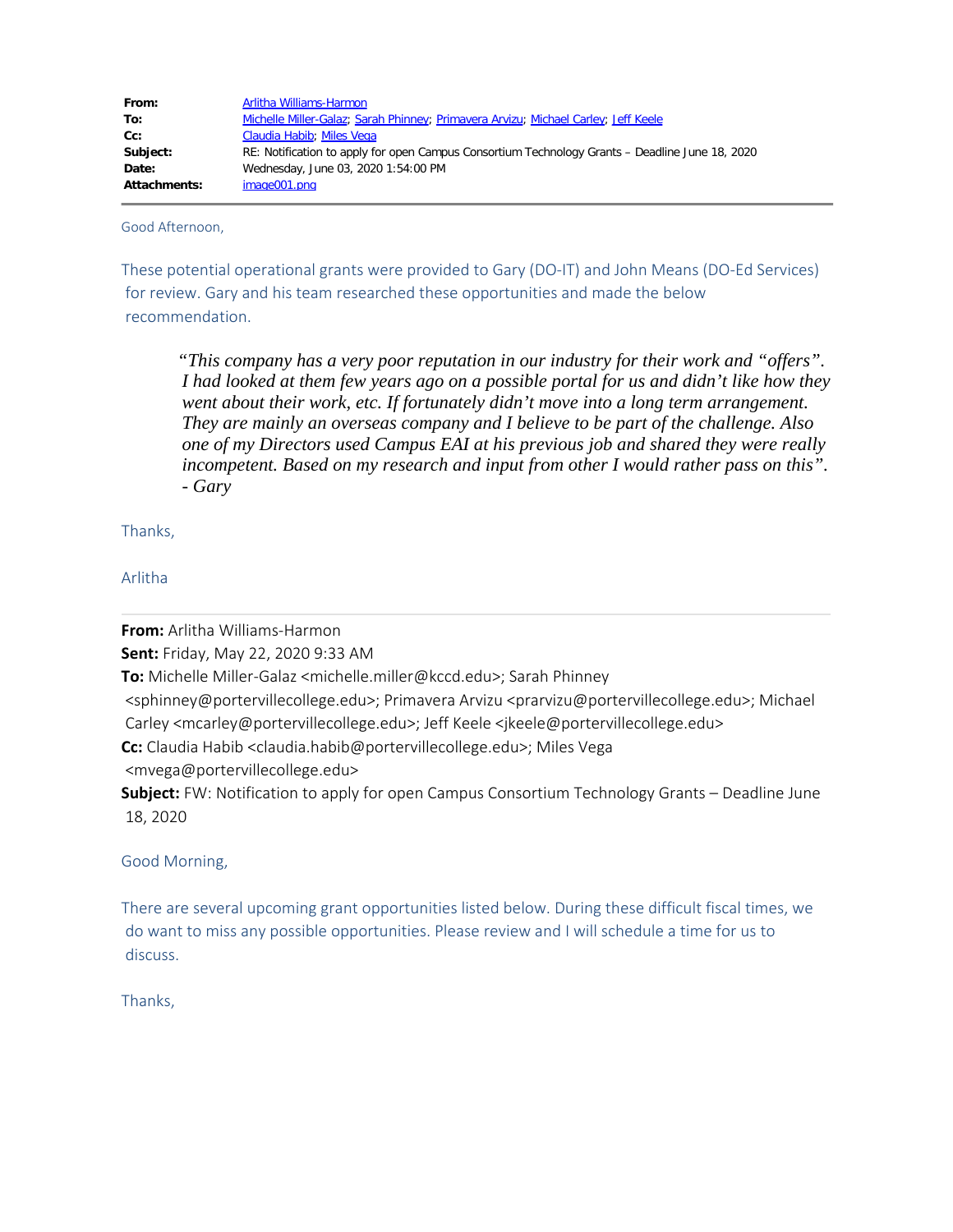| From:               | Arlitha Williams-Harmon                                                                         |
|---------------------|-------------------------------------------------------------------------------------------------|
| To:                 | Michelle Miller-Galaz; Sarah Phinney; Primavera Arvizu; Michael Carley; Jeff Keele              |
| Cc:                 | Claudia Habib; Miles Vega                                                                       |
| Subject:            | RE: Notification to apply for open Campus Consortium Technology Grants – Deadline June 18, 2020 |
| Date:               | Wednesday, June 03, 2020 1:54:00 PM                                                             |
| <b>Attachments:</b> | image001.png                                                                                    |

Good Afternoon,

These potential operational grants were provided to Gary (DO-IT) and John Means (DO-Ed Services) for review. Gary and his team researched these opportunities and made the below recommendation.

*"This company has a very poor reputation in our industry for their work and "offers". I had looked at them few years ago on a possible portal for us and didn't like how they went about their work, etc. If fortunately didn't move into a long term arrangement. They are mainly an overseas company and I believe to be part of the challenge. Also one of my Directors used Campus EAI at his previous job and shared they were really incompetent. Based on my research and input from other I would rather pass on this". - Gary*

Thanks,

Arlitha

**From:** Arlitha Williams-Harmon

**Sent:** Friday, May 22, 2020 9:33 AM

**To:** Michelle Miller-Galaz <michelle.miller@kccd.edu>; Sarah Phinney

 <sphinney@portervillecollege.edu>; Primavera Arvizu <prarvizu@portervillecollege.edu>; Michael Carley <mcarley@portervillecollege.edu>; Jeff Keele <jkeele@portervillecollege.edu>

**Cc:** Claudia Habib <claudia.habib@portervillecollege.edu>; Miles Vega

<mvega@portervillecollege.edu>

**Subject:** FW: Notification to apply for open Campus Consortium Technology Grants – Deadline June 18, 2020

Good Morning,

There are several upcoming grant opportunities listed below. During these difficult fiscal times, we do want to miss any possible opportunities. Please review and I will schedule a time for us to discuss.

Thanks,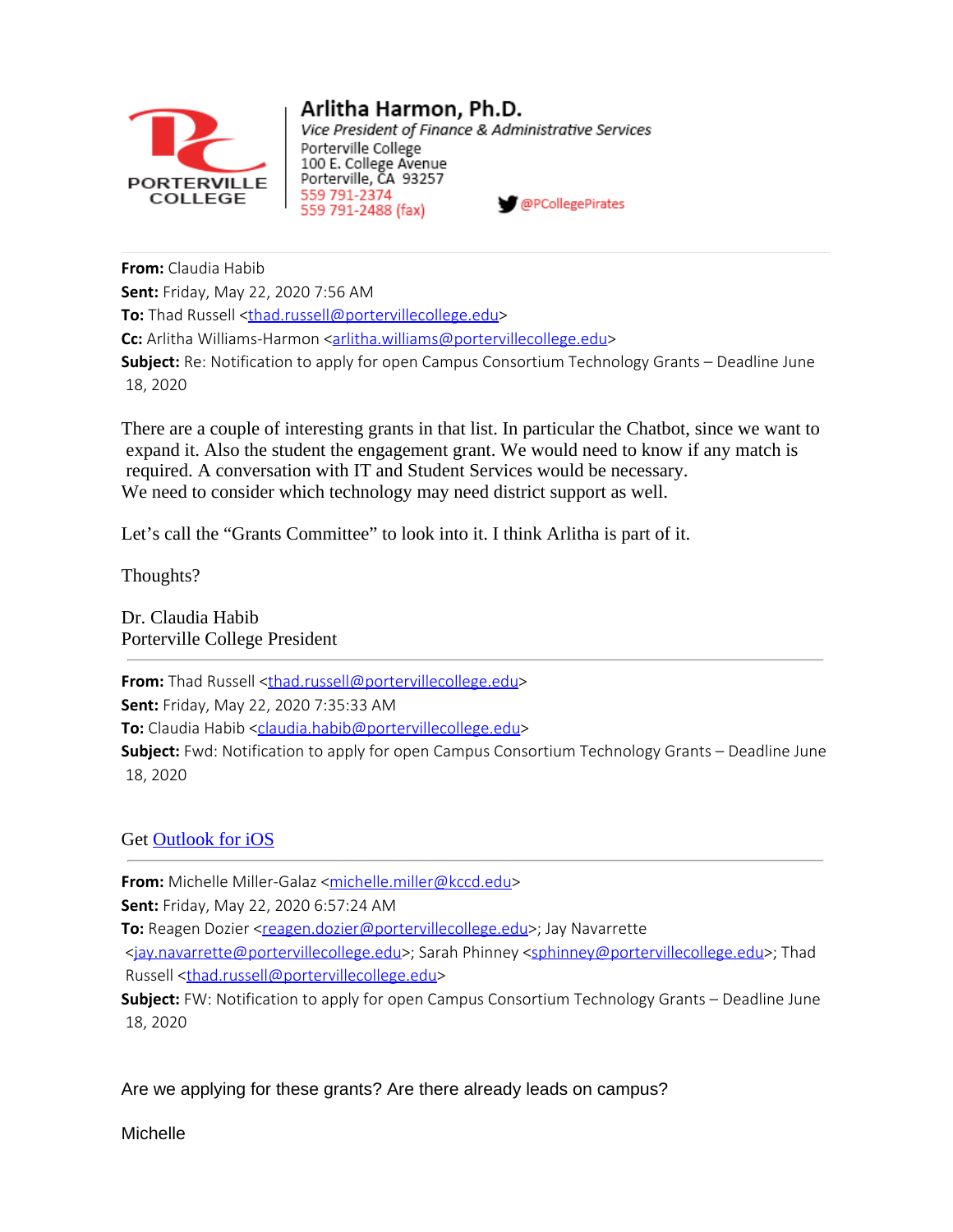

# Arlitha Harmon, Ph.D.

Vice President of Finance & Administrative Services Porterville College 100 E. College Avenue Porterville, CA 93257 559 791-2374 @PCollegePirates 559 791-2488 (fax)

**From:** Claudia Habib **Sent:** Friday, May 22, 2020 7:56 AM **To:** Thad Russell [<thad.russell@portervillecollege.edu](mailto:thad.russell@portervillecollege.edu)> **Cc:** Arlitha Williams-Harmon <**arlitha.williams@portervillecollege.edu> Subject:** Re: Notification to apply for open Campus Consortium Technology Grants – Deadline June 18, 2020

There are a couple of interesting grants in that list. In particular the Chatbot, since we want to expand it. Also the student the engagement grant. We would need to know if any match is required. A conversation with IT and Student Services would be necessary. We need to consider which technology may need district support as well.

Let's call the "Grants Committee" to look into it. I think Arlitha is part of it.

Thoughts?

Dr. Claudia Habib Porterville College President

**From:** Thad Russell [<thad.russell@portervillecollege.edu](mailto:thad.russell@portervillecollege.edu)>

**Sent:** Friday, May 22, 2020 7:35:33 AM

To: Claudia Habib [<claudia.habib@portervillecollege.edu](mailto:claudia.habib@portervillecollege.edu)>

**Subject:** Fwd: Notification to apply for open Campus Consortium Technology Grants – Deadline June 18, 2020

## Get [Outlook](https://aka.ms/o0ukef) for iOS

**From:** Michelle Miller-Galaz <[michelle.miller@kccd.edu>](mailto:michelle.miller@kccd.edu)

**Sent:** Friday, May 22, 2020 6:57:24 AM

**To:** Reagen Dozier [<reagen.dozier@portervillecollege.edu](mailto:reagen.dozier@portervillecollege.edu)>; Jay Navarrette

 [<jay.navarrette@portervillecollege.edu](mailto:jay.navarrette@portervillecollege.edu)>; Sarah Phinney [<sphinney@portervillecollege.edu](mailto:sphinney@portervillecollege.edu)>; Thad Russell [<thad.russell@portervillecollege.edu](mailto:thad.russell@portervillecollege.edu)>

**Subject:** FW: Notification to apply for open Campus Consortium Technology Grants – Deadline June 18, 2020

Are we applying for these grants? Are there already leads on campus?

**Michelle**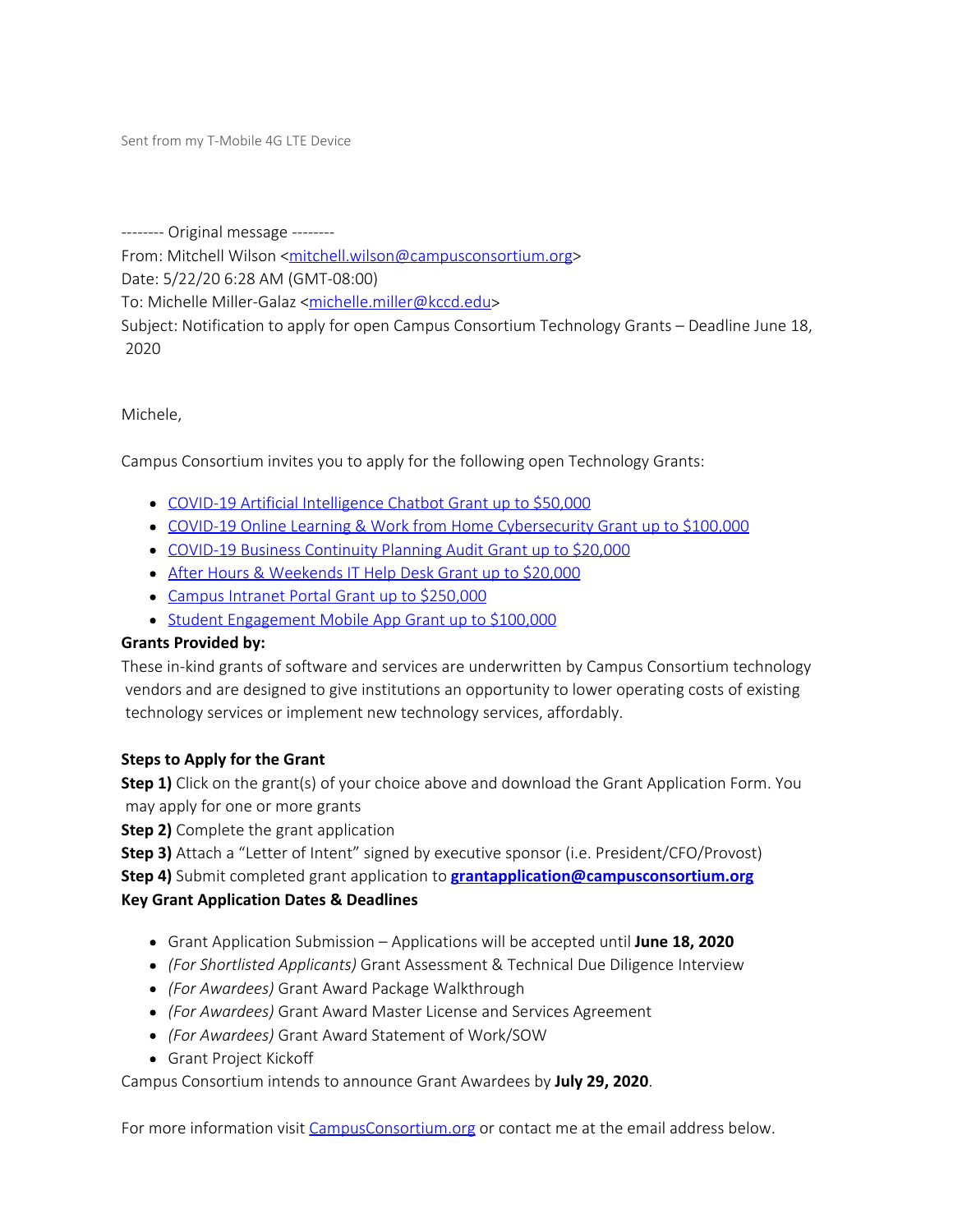Sent from my T-Mobile 4G LTE Device

-------- Original message --------

From: Mitchell Wilson [<mitchell.wilson@campusconsortium.org](mailto:mitchell.wilson@campusconsortium.org)>

Date: 5/22/20 6:28 AM (GMT-08:00)

To: Michelle Miller-Galaz [<michelle.miller@kccd.edu](mailto:michelle.miller@kccd.edu)>

Subject: Notification to apply for open Campus Consortium Technology Grants – Deadline June 18, 2020

Michele,

Campus Consortium invites you to apply for the following open Technology Grants:

- [COVID-19 Artificial Intelligence Chatbot Grant up to \\$50,000](https://linkprotect.cudasvc.com/url?a=http%3a%2f%2funsubscribe.campusconsortium.org%2fe%2f606301%2felligence-chatbot-grant-email-%2fyr7dn%2f591067781%3fh%3dd3CDei1HUsfxXU_-J14tp4qP1HgYJqbCBTjSdnOSaJM&c=E,1,w1zrTUr-EeLgcelBsgdbAcm92eximG9El66CfFOBTMhuycBNtvRhUp_ZZ_DwLCJ1l1YykaAbaxtTDY8ll7ky_p3-5yBUwGEqyk8941pL_ZnXq0JlEJXoh3AD&typo=1)
- [COVID-19 Online Learning & Work from Home Cybersecurity Grant up to \\$100,000](https://linkprotect.cudasvc.com/url?a=http%3a%2f%2funsubscribe.campusconsortium.org%2fe%2f606301%2fhome-cybersecurity-grant-email%2fyr7dq%2f591067781%3fh%3dd3CDei1HUsfxXU_-J14tp4qP1HgYJqbCBTjSdnOSaJM&c=E,1,7oNmfta7EW13SkM4sq8j9KiVqpsSzrdQtDgjw7ONloa1q5Zybne08sJiBoeFCsbMsNbZ093206P-GHkckJi0gIBWKGfLTxr6XxJXaWct&typo=1)
- [COVID-19 Business Continuity Planning Audit Grant up to \\$20,000](https://linkprotect.cudasvc.com/url?a=http%3a%2f%2funsubscribe.campusconsortium.org%2fe%2f606301%2fity-planning-audit-grant-email%2fyr7ds%2f591067781%3fh%3dd3CDei1HUsfxXU_-J14tp4qP1HgYJqbCBTjSdnOSaJM&c=E,1,qLNsuY-tq9iVRRjmRPbsa4WnFtYPL-Az0bxXiykbK8E_3ILqOkXqK4FsmLakf6nXD5Zo0Fu7sg09Skug69JTKNv8HfrSR759HpPfOgVrinkER6ILZhYy&typo=1)
- [After Hours & Weekends IT Help Desk Grant up to \\$20,000](https://linkprotect.cudasvc.com/url?a=http%3a%2f%2funsubscribe.campusconsortium.org%2fe%2f606301%2fit-help-desk-grant-email%2fyr7dv%2f591067781%3fh%3dd3CDei1HUsfxXU_-J14tp4qP1HgYJqbCBTjSdnOSaJM&c=E,1,8NLHPOBQv8qqKD2xLn46_bjSpFrMc9A4MDRgpr3oDq25TYFZMTomNezneviQuey7BJ4KDrocSX-vzg_e8wMo1o65io5lALqHvb_kJX31IsHX5jqH0duXg3Q,&typo=1)
- [Campus Intranet Portal Grant up to \\$250,000](https://linkprotect.cudasvc.com/url?a=http%3a%2f%2funsubscribe.campusconsortium.org%2fe%2f606301%2fus-intranet-portal-grant-email%2fyr7dx%2f591067781%3fh%3dd3CDei1HUsfxXU_-J14tp4qP1HgYJqbCBTjSdnOSaJM&c=E,1,_b2ka_euunKGR9Tt0JWwPBJxTXSqjcJEn04DPSv_wzMC7d8U90hJrRGtEWBTa8P3o7VEVxiC2cf-315YhHsoJkFmnYbkwG9zPB9BoDGZVzE,&typo=1)
- [Student Engagement Mobile App Grant up to \\$100,000](https://linkprotect.cudasvc.com/url?a=http%3a%2f%2funsubscribe.campusconsortium.org%2fe%2f606301%2fgement-mobile-app-grant-email-%2fyr7dz%2f591067781%3fh%3dd3CDei1HUsfxXU_-J14tp4qP1HgYJqbCBTjSdnOSaJM&c=E,1,bXR4I8LFRQk19MpxF_exEBnEzlZjKfcO23Ema2tvVSep5u81IR89okcY0XqH0neeQCkJohTTGJEAmR34Oo4Yf3jpAOXaNOr2ZtOxVIoyy_HLVvI,&typo=1)

## **Grants Provided by:**

These in-kind grants of software and services are underwritten by Campus Consortium technology vendors and are designed to give institutions an opportunity to lower operating costs of existing technology services or implement new technology services, affordably.

## **Steps to Apply for the Grant**

**Step 1)** Click on the grant(s) of your choice above and download the Grant Application Form. You may apply for one or more grants

**Step 2)** Complete the grant application

**Step 3)** Attach a "Letter of Intent" signed by executive sponsor (i.e. President/CFO/Provost)

 **Step 4)** Submit completed grant application to **[grantapplication@campusconsortium.org](mailto:grantapplication@campusconsortium.org) Key Grant Application Dates & Deadlines**

- Grant Application Submission Applications will be accepted until **June 18, 2020**
- *(For Shortlisted Applicants)* Grant Assessment & Technical Due Diligence Interview
- *(For Awardees)* Grant Award Package Walkthrough
- *(For Awardees)* Grant Award Master License and Services Agreement
- *(For Awardees)* Grant Award Statement of Work/SOW
- Grant Project Kickoff

Campus Consortium intends to announce Grant Awardees by **July 29, 2020**.

For more information visit [CampusConsortium.org](https://linkprotect.cudasvc.com/url?a=http%3a%2f%2funsubscribe.campusconsortium.org%2fe%2f606301%2f2020-05-22%2fyr7dl%2f591067781%3fh%3dd3CDei1HUsfxXU_-J14tp4qP1HgYJqbCBTjSdnOSaJM&c=E,1,sUs0bGaef6N5VFqTUhluNpiGj_yXXgrv1gG0XLRmaz8a8I_naNnGwqYL_lsvBrjcRSS9Yk_E3jm1-nKdwoLgN-Ukai6trcErw3M4EQXju1Q,&typo=1) or contact me at the email address below.